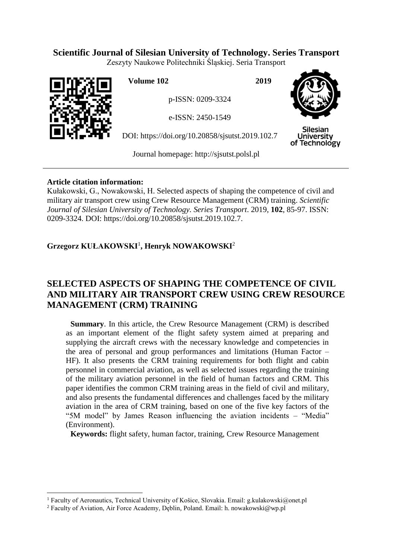# **Scientific Journal of Silesian University of Technology. Series Transport**

Zeszyty Naukowe Politechniki Śląskiej. Seria Transport



 $\overline{a}$ 

**Volume 102 2019**

p-ISSN: 0209-3324

e-ISSN: 2450-1549

DOI: https://doi.org/10.20858/sjsutst.2019.102.7



Silesian **University** of Technology

Journal homepage: [http://sjsutst.polsl.pl](http://sjsutst.polsl.pl/)

## **Article citation information:**

Kułakowski, G., Nowakowski, H. Selected aspects of shaping the competence of civil and military air transport crew using Crew Resource Management (CRM) training. *Scientific Journal of Silesian University of Technology. Series Transport*. 2019, **102**, 85-97. ISSN: 0209-3324. DOI: https://doi.org/10.20858/sjsutst.2019.102.7.

# **Grzegorz KUŁAKOWSKI**<sup>1</sup> **, Henryk NOWAKOWSKI**<sup>2</sup>

# **SELECTED ASPECTS OF SHAPING THE COMPETENCE OF CIVIL AND MILITARY AIR TRANSPORT CREW USING CREW RESOURCE MANAGEMENT (CRM) TRAINING**

**Summary.** In this article, the Crew Resource Management (CRM) is described as an important element of the flight safety system aimed at preparing and supplying the aircraft crews with the necessary knowledge and competencies in the area of personal and group performances and limitations (Human Factor – HF). It also presents the CRM training requirements for both flight and cabin personnel in commercial aviation, as well as selected issues regarding the training of the military aviation personnel in the field of human factors and CRM. This paper identifies the common CRM training areas in the field of civil and military, and also presents the fundamental differences and challenges faced by the military aviation in the area of CRM training, based on one of the five key factors of the "5M model" by James Reason influencing the aviation incidents – "Media" (Environment).

**Keywords:** flight safety, human factor, training, Crew Resource Management

<sup>&</sup>lt;sup>1</sup> Faculty of Aeronautics, Technical University of Košice, Slovakia. Email: g.kulakowski@onet.pl

<sup>&</sup>lt;sup>2</sup> Faculty of Aviation, Air Force Academy, Dęblin, Poland. Email: h. nowakowski@wp.pl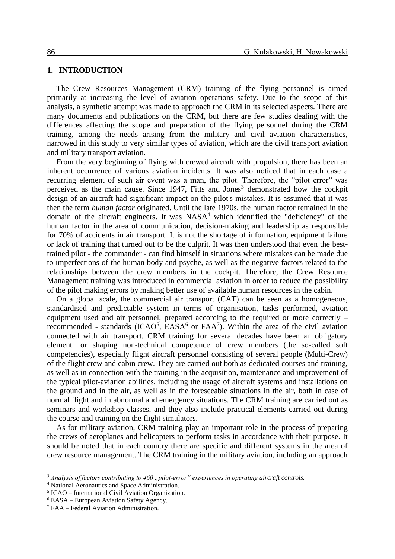#### **1. INTRODUCTION**

The Crew Resources Management (CRM) training of the flying personnel is aimed primarily at increasing the level of aviation operations safety. Due to the scope of this analysis, a synthetic attempt was made to approach the CRM in its selected aspects. There are many documents and publications on the CRM, but there are few studies dealing with the differences affecting the scope and preparation of the flying personnel during the CRM training, among the needs arising from the military and civil aviation characteristics, narrowed in this study to very similar types of aviation, which are the civil transport aviation and military transport aviation.

From the very beginning of flying with crewed aircraft with propulsion, there has been an inherent occurrence of various aviation incidents. It was also noticed that in each case a recurring element of such air event was a man, the pilot. Therefore, the "pilot error" was perceived as the main cause. Since  $1947$ , Fitts and Jones<sup>3</sup> demonstrated how the cockpit design of an aircraft had significant impact on the pilot's mistakes. It is assumed that it was then the term *human factor* originated. Until the late 1970s, the human factor remained in the domain of the aircraft engineers. It was  $NASA<sup>4</sup>$  which identified the "deficiency" of the human factor in the area of communication, decision-making and leadership as responsible for 70% of accidents in air transport. It is not the shortage of information, equipment failure or lack of training that turned out to be the culprit. It was then understood that even the besttrained pilot - the commander - can find himself in situations where mistakes can be made due to imperfections of the human body and psyche, as well as the negative factors related to the relationships between the crew members in the cockpit. Therefore, the Crew Resource Management training was introduced in commercial aviation in order to reduce the possibility of the pilot making errors by making better use of available human resources in the cabin.

On a global scale, the commercial air transport (CAT) can be seen as a homogeneous, standardised and predictable system in terms of organisation, tasks performed, aviation equipment used and air personnel, prepared according to the required or more correctly – recommended - standards (ICAO<sup>5</sup>, EASA<sup>6</sup> or FAA<sup>7</sup>). Within the area of the civil aviation connected with air transport, CRM training for several decades have been an obligatory element for shaping non-technical competence of crew members (the so-called soft competencies), especially flight aircraft personnel consisting of several people (Multi-Crew) of the flight crew and cabin crew. They are carried out both as dedicated courses and training, as well as in connection with the training in the acquisition, maintenance and improvement of the typical pilot-aviation abilities, including the usage of aircraft systems and installations on the ground and in the air, as well as in the foreseeable situations in the air, both in case of normal flight and in abnormal and emergency situations. The CRM training are carried out as seminars and workshop classes, and they also include practical elements carried out during the course and training on the flight simulators.

As for military aviation, CRM training play an important role in the process of preparing the crews of aeroplanes and helicopters to perform tasks in accordance with their purpose. It should be noted that in each country there are specific and different systems in the area of crew resource management. The CRM training in the military aviation, including an approach

<sup>&</sup>lt;sup>3</sup> *Analysis of factors contributing to 460* "*pilot-error*" experiences in operating aircraft controls.

<sup>4</sup> National Aeronautics and Space Administration.

<sup>5</sup> ICAO – International Civil Aviation Organization.

<sup>6</sup> EASA – European Aviation Safety Agency.

<sup>7</sup> FAA – Federal Aviation Administration.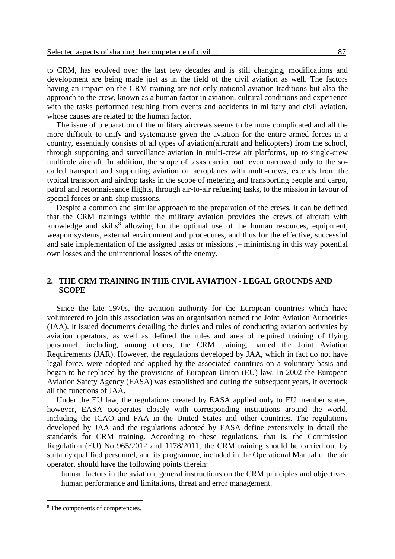to CRM, has evolved over the last few decades and is still changing, modifications and development are being made just as in the field of the civil aviation as well. The factors having an impact on the CRM training are not only national aviation traditions but also the approach to the crew, known as a human factor in aviation, cultural conditions and experience with the tasks performed resulting from events and accidents in military and civil aviation, whose causes are related to the human factor.

The issue of preparation of the military aircrews seems to be more complicated and all the more difficult to unify and systematise given the aviation for the entire armed forces in a country, essentially consists of all types of aviation(aircraft and helicopters) from the school, through supporting and surveillance aviation in multi-crew air platforms, up to single-crew multirole aircraft. In addition, the scope of tasks carried out, even narrowed only to the socalled transport and supporting aviation on aeroplanes with multi-crews, extends from the typical transport and airdrop tasks in the scope of metering and transporting people and cargo, patrol and reconnaissance flights, through air-to-air refueling tasks, to the mission in favour of special forces or anti-ship missions.

Despite a common and similar approach to the preparation of the crews, it can be defined that the CRM trainings within the military aviation provides the crews of aircraft with knowledge and skills<sup>8</sup> allowing for the optimal use of the human resources, equipment, weapon systems, external environment and procedures, and thus for the effective, successful and safe implementation of the assigned tasks or missions ,– minimising in this way potential own losses and the unintentional losses of the enemy.

## **2. THE CRM TRAINING IN THE CIVIL AVIATION - LEGAL GROUNDS AND SCOPE**

Since the late 1970s, the aviation authority for the European countries which have volunteered to join this association was an organisation named the Joint Aviation Authorities (JAA). It issued documents detailing the duties and rules of conducting aviation activities by aviation operators, as well as defined the rules and area of required training of flying personnel, including, among others, the CRM training, named the Joint Aviation Requirements (JAR). However, the regulations developed by JAA, which in fact do not have legal force, were adopted and applied by the associated countries on a voluntary basis and began to be replaced by the provisions of European Union (EU) law. In 2002 the European Aviation Safety Agency (EASA) was established and during the subsequent years, it overtook all the functions of JAA.

Under the EU law, the regulations created by EASA applied only to EU member states, however, EASA cooperates closely with corresponding institutions around the world, including the ICAO and FAA in the United States and other countries. The regulations developed by JAA and the regulations adopted by EASA define extensively in detail the standards for CRM training. According to these regulations, that is, the Commission Regulation (EU) No 965/2012 and 1178/2011, the CRM training should be carried out by suitably qualified personnel, and its programme, included in the Operational Manual of the air operator, should have the following points therein:

 human factors in the aviation, general instructions on the CRM principles and objectives, human performance and limitations, threat and error management.

<sup>8</sup> The components of competencies.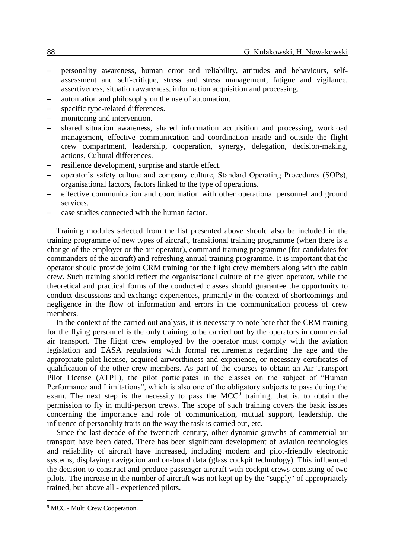- personality awareness, human error and reliability, attitudes and behaviours, selfassessment and self-critique, stress and stress management, fatigue and vigilance, assertiveness, situation awareness, information acquisition and processing.
- automation and philosophy on the use of automation.
- specific type-related differences.
- monitoring and intervention.
- shared situation awareness, shared information acquisition and processing, workload management, effective communication and coordination inside and outside the flight crew compartment, leadership, cooperation, synergy, delegation, decision-making, actions, Cultural differences.
- resilience development, surprise and startle effect.
- operator's safety culture and company culture, Standard Operating Procedures (SOPs), organisational factors, factors linked to the type of operations.
- effective communication and coordination with other operational personnel and ground services.
- case studies connected with the human factor.

Training modules selected from the list presented above should also be included in the training programme of new types of aircraft, transitional training programme (when there is a change of the employer or the air operator), command training programme (for candidates for commanders of the aircraft) and refreshing annual training programme. It is important that the operator should provide joint CRM training for the flight crew members along with the cabin crew. Such training should reflect the organisational culture of the given operator, while the theoretical and practical forms of the conducted classes should guarantee the opportunity to conduct discussions and exchange experiences, primarily in the context of shortcomings and negligence in the flow of information and errors in the communication process of crew members.

In the context of the carried out analysis, it is necessary to note here that the CRM training for the flying personnel is the only training to be carried out by the operators in commercial air transport. The flight crew employed by the operator must comply with the aviation legislation and EASA regulations with formal requirements regarding the age and the appropriate pilot license, acquired airworthiness and experience, or necessary certificates of qualification of the other crew members. As part of the courses to obtain an Air Transport Pilot License (ATPL), the pilot participates in the classes on the subject of "Human Performance and Limitations", which is also one of the obligatory subjects to pass during the exam. The next step is the necessity to pass the  $MCC<sup>9</sup>$  training, that is, to obtain the permission to fly in multi-person crews. The scope of such training covers the basic issues concerning the importance and role of communication, mutual support, leadership, the influence of personality traits on the way the task is carried out, etc.

Since the last decade of the twentieth century, other dynamic growths of commercial air transport have been dated. There has been significant development of aviation technologies and reliability of aircraft have increased, including modern and pilot-friendly electronic systems, displaying navigation and on-board data (glass cockpit technology). This influenced the decision to construct and produce passenger aircraft with cockpit crews consisting of two pilots. The increase in the number of aircraft was not kept up by the "supply" of appropriately trained, but above all - experienced pilots.

<sup>&</sup>lt;sup>9</sup> MCC - Multi Crew Cooperation.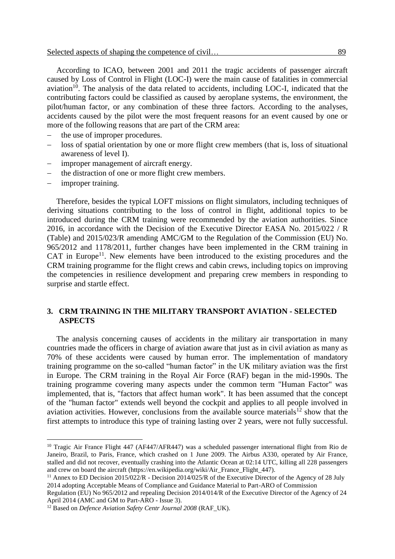According to ICAO, between 2001 and 2011 the tragic accidents of passenger aircraft caused by Loss of Control in Flight (LOC-I) were the main cause of fatalities in commercial  $a$ viation<sup>10</sup>. The analysis of the data related to accidents, including LOC-I, indicated that the contributing factors could be classified as caused by aeroplane systems, the environment, the pilot/human factor, or any combination of these three factors. According to the analyses, accidents caused by the pilot were the most frequent reasons for an event caused by one or more of the following reasons that are part of the CRM area:

- the use of improper procedures.
- loss of spatial orientation by one or more flight crew members (that is, loss of situational awareness of level I).
- improper management of aircraft energy.
- the distraction of one or more flight crew members.
- improper training.

 $\overline{a}$ 

Therefore, besides the typical LOFT missions on flight simulators, including techniques of deriving situations contributing to the loss of control in flight, additional topics to be introduced during the CRM training were recommended by the aviation authorities. Since 2016, in accordance with the Decision of the Executive Director EASA No. 2015/022 / R (Table) and 2015/023/R amending AMC/GM to the Regulation of the Commission (EU) No. 965/2012 and 1178/2011, further changes have been implemented in the CRM training in  $CAT$  in Europe<sup>11</sup>. New elements have been introduced to the existing procedures and the CRM training programme for the flight crews and cabin crews, including topics on improving the competencies in resilience development and preparing crew members in responding to surprise and startle effect.

## **3. CRM TRAINING IN THE MILITARY TRANSPORT AVIATION - SELECTED ASPECTS**

The analysis concerning causes of accidents in the military air transportation in many countries made the officers in charge of aviation aware that just as in civil aviation as many as 70% of these accidents were caused by human error. The implementation of mandatory training programme on the so-called "human factor" in the UK military aviation was the first in Europe. The CRM training in the Royal Air Force (RAF) began in the mid-1990s. The training programme covering many aspects under the common term "Human Factor" was implemented, that is, "factors that affect human work". It has been assumed that the concept of the "human factor" extends well beyond the cockpit and applies to all people involved in aviation activities. However, conclusions from the available source materials $12$  show that the first attempts to introduce this type of training lasting over 2 years, were not fully successful.

<sup>&</sup>lt;sup>10</sup> Tragic Air France Flight 447 (AF447/AFR447) was a scheduled passenger international flight from Rio de Janeiro, Brazil, to Paris, France, which crashed on 1 June 2009. The Airbus A330, operated by Air France, stalled and did not recover, eventually crashing into the Atlantic Ocean at 02:14 UTC, killing all 228 passengers and crew on board the aircraft (https://en.wikipedia.org/wiki/Air\_France\_Flight\_447).

<sup>&</sup>lt;sup>11</sup> Annex to ED Decision 2015/022/R - Decision 2014/025/R of the Executive Director of the Agency of 28 July 2014 adopting Acceptable Means of Compliance and Guidance Material to Part-ARO of Commission

Regulation (EU) No 965/2012 and repealing Decision 2014/014/R of the Executive Director of the Agency of 24 April 2014 (AMC and GM to Part-ARO - Issue 3).

<sup>&</sup>lt;sup>12</sup> Based on *Defence Aviation Safety Centr Journal 2008* (RAF\_UK).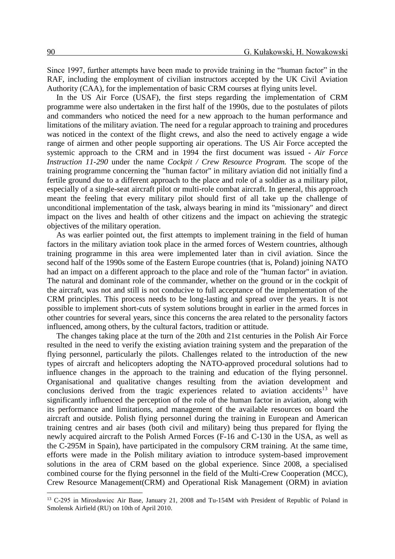Since 1997, further attempts have been made to provide training in the "human factor" in the RAF, including the employment of civilian instructors accepted by the UK Civil Aviation Authority (CAA), for the implementation of basic CRM courses at flying units level.

In the US Air Force (USAF), the first steps regarding the implementation of CRM programme were also undertaken in the first half of the 1990s, due to the postulates of pilots and commanders who noticed the need for a new approach to the human performance and limitations of the military aviation. The need for a regular approach to training and procedures was noticed in the context of the flight crews, and also the need to actively engage a wide range of airmen and other people supporting air operations. The US Air Force accepted the systemic approach to the CRM and in 1994 the first document was issued - *Air Force Instruction 11-290* under the name *Cockpit / Crew Resource Program.* The scope of the training programme concerning the "human factor" in military aviation did not initially find a fertile ground due to a different approach to the place and role of a soldier as a military pilot, especially of a single-seat aircraft pilot or multi-role combat aircraft. In general, this approach meant the feeling that every military pilot should first of all take up the challenge of unconditional implementation of the task, always bearing in mind its "missionary" and direct impact on the lives and health of other citizens and the impact on achieving the strategic objectives of the military operation.

As was earlier pointed out, the first attempts to implement training in the field of human factors in the military aviation took place in the armed forces of Western countries, although training programme in this area were implemented later than in civil aviation. Since the second half of the 1990s some of the Eastern Europe countries (that is, Poland) joining NATO had an impact on a different approach to the place and role of the "human factor" in aviation. The natural and dominant role of the commander, whether on the ground or in the cockpit of the aircraft, was not and still is not conducive to full acceptance of the implementation of the CRM principles. This process needs to be long-lasting and spread over the years. It is not possible to implement short-cuts of system solutions brought in earlier in the armed forces in other countries for several years, since this concerns the area related to the personality factors influenced, among others, by the cultural factors, tradition or attitude.

The changes taking place at the turn of the 20th and 21st centuries in the Polish Air Force resulted in the need to verify the existing aviation training system and the preparation of the flying personnel, particularly the pilots. Challenges related to the introduction of the new types of aircraft and helicopters adopting the NATO-approved procedural solutions had to influence changes in the approach to the training and education of the flying personnel. Organisational and qualitative changes resulting from the aviation development and conclusions derived from the tragic experiences related to aviation accidents<sup>13</sup> have significantly influenced the perception of the role of the human factor in aviation, along with its performance and limitations, and management of the available resources on board the aircraft and outside. Polish flying personnel during the training in European and American training centres and air bases (both civil and military) being thus prepared for flying the newly acquired aircraft to the Polish Armed Forces (F-16 and C-130 in the USA, as well as the C-295M in Spain), have participated in the compulsory CRM training. At the same time, efforts were made in the Polish military aviation to introduce system-based improvement solutions in the area of CRM based on the global experience. Since 2008, a specialised combined course for the flying personnel in the field of the Multi-Crew Cooperation (MCC), Crew Resource Management(CRM) and Operational Risk Management (ORM) in aviation

<sup>&</sup>lt;sup>13</sup> C-295 in Mirosławiec Air Base, January 21, 2008 and Tu-154M with President of Republic of Poland in Smolensk Airfield (RU) on 10th of April 2010.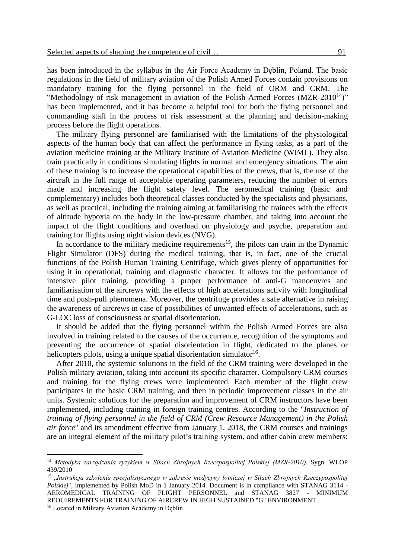has been introduced in the syllabus in the Air Force Academy in Dęblin, Poland. The basic regulations in the field of military aviation of the Polish Armed Forces contain provisions on mandatory training for the flying personnel in the field of ORM and CRM. The "Methodology of risk management in aviation of the Polish Armed Forces  $(MZR-2010^{14})$ " has been implemented, and it has become a helpful tool for both the flying personnel and commanding staff in the process of risk assessment at the planning and decision-making process before the flight operations.

The military flying personnel are familiarised with the limitations of the physiological aspects of the human body that can affect the performance in flying tasks, as a part of the aviation medicine training at the Military Institute of Aviation Medicine (WIML). They also train practically in conditions simulating flights in normal and emergency situations. The aim of these training is to increase the operational capabilities of the crews, that is, the use of the aircraft in the full range of acceptable operating parameters, reducing the number of errors made and increasing the flight safety level. The aeromedical training (basic and complementary) includes both theoretical classes conducted by the specialists and physicians, as well as practical, including the training aiming at familiarising the trainees with the effects of altitude hypoxia on the body in the low-pressure chamber, and taking into account the impact of the flight conditions and overload on physiology and psyche, preparation and training for flights using night vision devices (NVG).

In accordance to the military medicine requirements<sup>15</sup>, the pilots can train in the Dynamic Flight Simulator (DFS) during the medical training, that is, in fact, one of the crucial functions of the Polish Human Training Centrifuge, which gives plenty of opportunities for using it in operational, training and diagnostic character. It allows for the performance of intensive pilot training, providing a proper performance of anti-G manoeuvres and familiarisation of the aircrews with the effects of high accelerations activity with longitudinal time and push-pull phenomena. Moreover, the centrifuge provides a safe alternative in raising the awareness of aircrews in case of possibilities of unwanted effects of accelerations, such as G-LOC loss of consciousness or spatial disorientation.

It should be added that the flying personnel within the Polish Armed Forces are also involved in training related to the causes of the occurrence, recognition of the symptoms and preventing the occurrence of spatial disorientation in flight, dedicated to the planes or helicopters pilots, using a unique spatial disorientation simulator $^{16}$ .

After 2010, the systemic solutions in the field of the CRM training were developed in the Polish military aviation, taking into account its specific character. Compulsory CRM courses and training for the flying crews were implemented. Each member of the flight crew participates in the basic CRM training, and then in periodic improvement classes in the air units. Systemic solutions for the preparation and improvement of CRM instructors have been implemented, including training in foreign training centres. According to the "*Instruction of training of flying personnel in the field of CRM (Crew Resource Management) in the Polish air force*" and its amendment effective from January 1, 2018, the CRM courses and trainings are an integral element of the military pilot's training system, and other cabin crew members;

<sup>14</sup> *Metodyka zarządzania ryzykiem w Siłach Zbrojnych Rzeczpospolitej Polskiej (MZR-2010).* Sygn. WLOP 439/2010

<sup>&</sup>lt;sup>15</sup> "Instrukcja szkolenia specjalistycznego w zakresie medycyny lotniczej w Siłach Zbrojnych Rzeczypospolitej *Polskiej*", implemented by Polish MoD in 1 January 2014. Document is in compliance with STANAG 3114 - AEROMEDICAL TRAINING OF FLIGHT PERSONNEL and STANAG 3827 - MINIMUM REOUIREMENTS FOR TRAINING OF AIRCREW IN HIGH SUSTAINED "G" ENVIRONMENT.

<sup>16</sup> Located in Military Aviation Academy in Dęblin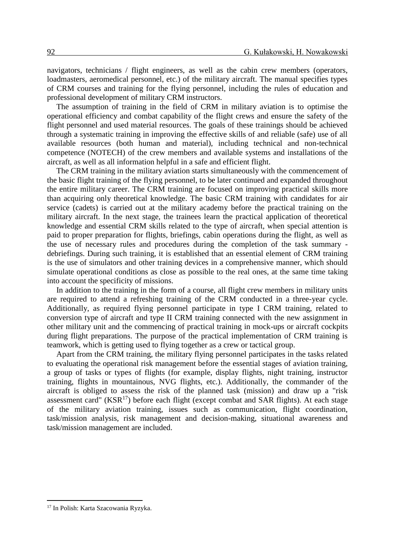navigators, technicians / flight engineers, as well as the cabin crew members (operators, loadmasters, aeromedical personnel, etc.) of the military aircraft. The manual specifies types of CRM courses and training for the flying personnel, including the rules of education and professional development of military CRM instructors.

The assumption of training in the field of CRM in military aviation is to optimise the operational efficiency and combat capability of the flight crews and ensure the safety of the flight personnel and used material resources. The goals of these trainings should be achieved through a systematic training in improving the effective skills of and reliable (safe) use of all available resources (both human and material), including technical and non-technical competence (NOTECH) of the crew members and available systems and installations of the aircraft, as well as all information helpful in a safe and efficient flight.

The CRM training in the military aviation starts simultaneously with the commencement of the basic flight training of the flying personnel, to be later continued and expanded throughout the entire military career. The CRM training are focused on improving practical skills more than acquiring only theoretical knowledge. The basic CRM training with candidates for air service (cadets) is carried out at the military academy before the practical training on the military aircraft. In the next stage, the trainees learn the practical application of theoretical knowledge and essential CRM skills related to the type of aircraft, when special attention is paid to proper preparation for flights, briefings, cabin operations during the flight, as well as the use of necessary rules and procedures during the completion of the task summary debriefings. During such training, it is established that an essential element of CRM training is the use of simulators and other training devices in a comprehensive manner, which should simulate operational conditions as close as possible to the real ones, at the same time taking into account the specificity of missions.

In addition to the training in the form of a course, all flight crew members in military units are required to attend a refreshing training of the CRM conducted in a three-year cycle. Additionally, as required flying personnel participate in type I CRM training, related to conversion type of aircraft and type II CRM training connected with the new assignment in other military unit and the commencing of practical training in mock-ups or aircraft cockpits during flight preparations. The purpose of the practical implementation of CRM training is teamwork, which is getting used to flying together as a crew or tactical group.

Apart from the CRM training, the military flying personnel participates in the tasks related to evaluating the operational risk management before the essential stages of aviation training, a group of tasks or types of flights (for example, display flights, night training, instructor training, flights in mountainous, NVG flights, etc.). Additionally, the commander of the aircraft is obliged to assess the risk of the planned task (mission) and draw up a "risk assessment card"  $(KSR<sup>17</sup>)$  before each flight (except combat and SAR flights). At each stage of the military aviation training, issues such as communication, flight coordination, task/mission analysis, risk management and decision-making, situational awareness and task/mission management are included.

<sup>17</sup> In Polish: Karta Szacowania Ryzyka.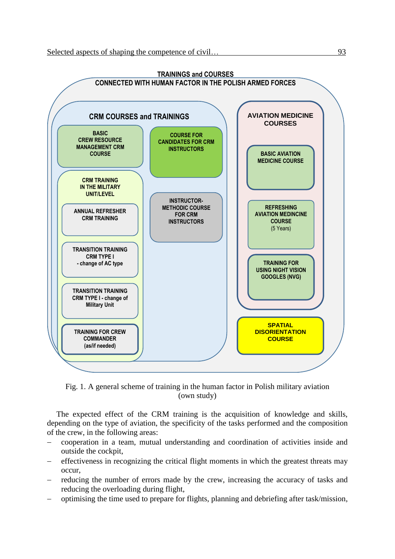

Fig. 1. A general scheme of training in the human factor in Polish military aviation (own study)

The expected effect of the CRM training is the acquisition of knowledge and skills, depending on the type of aviation, the specificity of the tasks performed and the composition of the crew, in the following areas:

- cooperation in a team, mutual understanding and coordination of activities inside and outside the cockpit,
- effectiveness in recognizing the critical flight moments in which the greatest threats may occur,
- reducing the number of errors made by the crew, increasing the accuracy of tasks and reducing the overloading during flight,
- optimising the time used to prepare for flights, planning and debriefing after task/mission,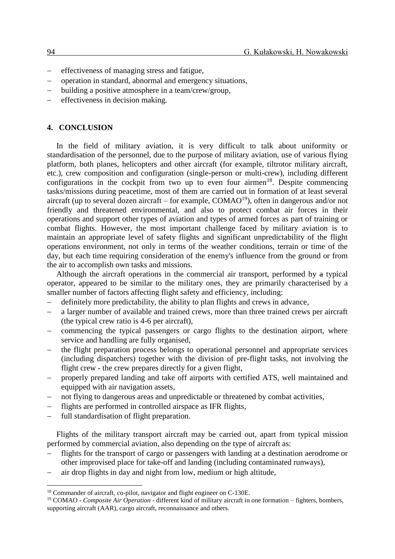- effectiveness of managing stress and fatigue,
- operation in standard, abnormal and emergency situations,
- building a positive atmosphere in a team/crew/group,
- $-$  effectiveness in decision making.

## **4. CONCLUSION**

In the field of military aviation, it is very difficult to talk about uniformity or standardisation of the personnel, due to the purpose of military aviation, use of various flying platform, both planes, helicopters and other aircraft (for example, tiltrotor military aircraft, etc.), crew composition and configuration (single-person or multi-crew), including different configurations in the cockpit from two up to even four airmen<sup>18</sup>. Despite commencing tasks/missions during peacetime, most of them are carried out in formation of at least several aircraft (up to several dozen aircraft – for example,  $COMAO<sup>19</sup>$ ), often in dangerous and/or not friendly and threatened environmental, and also to protect combat air forces in their operations and support other types of aviation and types of armed forces as part of training or combat flights. However, the most important challenge faced by military aviation is to maintain an appropriate level of safety flights and significant unpredictability of the flight operations environment, not only in terms of the weather conditions, terrain or time of the day, but each time requiring consideration of the enemy's influence from the ground or from the air to accomplish own tasks and missions.

Although the aircraft operations in the commercial air transport, performed by a typical operator, appeared to be similar to the military ones, they are primarily characterised by a smaller number of factors affecting flight safety and efficiency, including:

- definitely more predictability, the ability to plan flights and crews in advance,
- a larger number of available and trained crews, more than three trained crews per aircraft (the typical crew ratio is 4-6 per aircraft),
- commencing the typical passengers or cargo flights to the destination airport, where service and handling are fully organised,
- the flight preparation process belongs to operational personnel and appropriate services (including dispatchers) together with the division of pre-flight tasks, not involving the flight crew - the crew prepares directly for a given flight,
- properly prepared landing and take off airports with certified ATS, well maintained and equipped with air navigation assets,
- not flying to dangerous areas and unpredictable or threatened by combat activities,
- flights are performed in controlled airspace as IFR flights,
- full standardisation of flight preparation.

 $\overline{a}$ 

Flights of the military transport aircraft may be carried out, apart from typical mission performed by commercial aviation, also depending on the type of aircraft as:

- flights for the transport of cargo or passengers with landing at a destination aerodrome or other improvised place for take-off and landing (including contaminated runways),
- air drop flights in day and night from low, medium or high altitude,

<sup>18</sup> Commander of aircraft, co-pilot, navigator and flight engineer on C-130E.

<sup>19</sup> COMAO - *Composite Air Operation* - different kind of military aircraft in one formation – fighters, bombers, supporting aircraft (AAR), cargo aircraft, reconnaissance and others.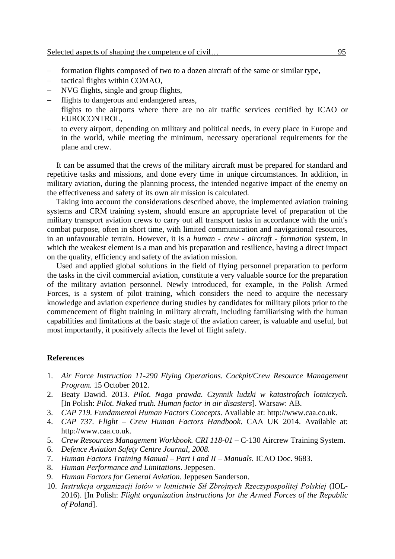- formation flights composed of two to a dozen aircraft of the same or similar type,
- tactical flights within COMAO,
- NVG flights, single and group flights,
- flights to dangerous and endangered areas,
- flights to the airports where there are no air traffic services certified by ICAO or EUROCONTROL,
- to every airport, depending on military and political needs, in every place in Europe and in the world, while meeting the minimum, necessary operational requirements for the plane and crew.

It can be assumed that the crews of the military aircraft must be prepared for standard and repetitive tasks and missions, and done every time in unique circumstances. In addition, in military aviation, during the planning process, the intended negative impact of the enemy on the effectiveness and safety of its own air mission is calculated.

Taking into account the considerations described above, the implemented aviation training systems and CRM training system, should ensure an appropriate level of preparation of the military transport aviation crews to carry out all transport tasks in accordance with the unit's combat purpose, often in short time, with limited communication and navigational resources, in an unfavourable terrain. However, it is a *human - crew - aircraft - formation* system, in which the weakest element is a man and his preparation and resilience, having a direct impact on the quality, efficiency and safety of the aviation mission.

Used and applied global solutions in the field of flying personnel preparation to perform the tasks in the civil commercial aviation, constitute a very valuable source for the preparation of the military aviation personnel. Newly introduced, for example, in the Polish Armed Forces, is a system of pilot training, which considers the need to acquire the necessary knowledge and aviation experience during studies by candidates for military pilots prior to the commencement of flight training in military aircraft, including familiarising with the human capabilities and limitations at the basic stage of the aviation career, is valuable and useful, but most importantly, it positively affects the level of flight safety.

#### **References**

- 1. *Air Force Instruction 11-290 Flying Operations. Cockpit/Crew Resource Management Program.* 15 October 2012.
- 2. Beaty Dawid. 2013. *Pilot. Naga prawda. Czynnik ludzki w katastrofach lotniczych.* [In Polish: *Pilot. Naked truth. Human factor in air disasters*]. Warsaw: AB.
- 3. *CAP 719. Fundamental Human Factors Concepts*. Available at: http:/[/www.caa.co.uk.](http://www.caa.co.uk/)
- 4. *CAP 737. Flight – Crew Human Factors Handbook*. CAA UK 2014. Available at: http:/[/www.caa.co.uk.](http://www.caa.co.uk/)
- 5. *Crew Resources Management Workbook. CRI 118-01* C-130 Aircrew Training System.
- 6. *Defence Aviation Safety Centre Journal, 2008.*
- 7. *Human Factors Training Manual – Part I and II – Manuals.* ICAO Doc. 9683.
- 8. *Human Performance and Limitations*. Jeppesen.
- 9. *Human Factors for General Aviation.* Jeppesen Sanderson.
- 10. *Instrukcja organizacji lotów w lotnictwie Sił Zbrojnych Rzeczypospolitej Polskiej* (IOL-2016). [In Polish: *Flight organization instructions for the Armed Forces of the Republic of Poland*].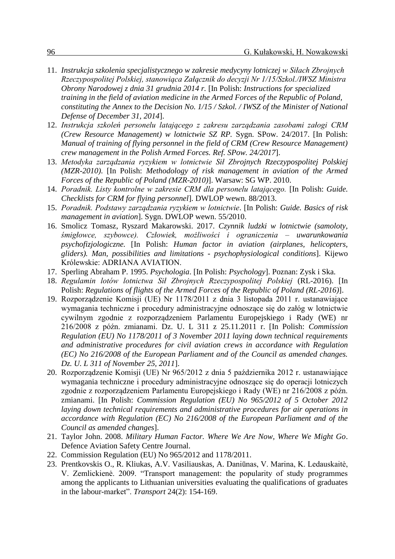- 11. *Instrukcja szkolenia specjalistycznego w zakresie medycyny lotniczej w Siłach Zbrojnych Rzeczypospolitej Polskiej, stanowiąca Załącznik do decyzji Nr 1/15/Szkol./IWSZ Ministra Obrony Narodowej z dnia 31 grudnia 2014 r.* [In Polish: *Instructions for specialized training in the field of aviation medicine in the Armed Forces of the Republic of Poland, constituting the Annex to the Decision No. 1/15 / Szkol. / IWSZ of the Minister of National Defense of December 31, 2014*].
- 12. *Instrukcja szkoleń personelu latającego z zakresu zarządzania zasobami załogi CRM (Crew Resource Management) w lotnictwie SZ RP.* Sygn. SPow. 24/2017. [In Polish: *Manual of training of flying personnel in the field of CRM (Crew Resource Management) crew management in the Polish Armed Forces. Ref. SPow. 24/2017*].
- 13. *Metodyka zarządzania ryzykiem w lotnictwie Sił Zbrojnych Rzeczypospolitej Polskiej (MZR-2010)*. [In Polish: *Methodology of risk management in aviation of the Armed Forces of the Republic of Poland (MZR-2010)*]. Warsaw: SG WP. 2010.
- 14. *Poradnik. Listy kontrolne w zakresie CRM dla personelu latającego.* [In Polish: *Guide. Checklists for CRM for flying personnel*]. DWLOP wewn. 88/2013.
- 15. *Poradnik. Podstawy zarządzania ryzykiem w lotnictwie*. [In Polish: *Guide. Basics of risk management in aviation*]. Sygn. DWLOP wewn. 55/2010.
- 16. Smolicz Tomasz, Ryszard Makarowski. 2017. *Czynnik ludzki w lotnictwie (samoloty, śmigłowce, szybowce). Człowiek, możliwości i ograniczenia – uwarunkowania psychofizjologiczne.* [In Polish: *Human factor in aviation (airplanes, helicopters, gliders). Man, possibilities and limitations - psychophysiological conditions*]. Kijewo Królewskie: ADRIANA AVIATION.
- 17. Sperling Abraham P. 1995. *Psychologia*. [In Polish: *Psychology*]. Poznan: Zysk i Ska.
- 18. *Regulamin lotów lotnictwa Sił Zbrojnych Rzeczypospolitej Polskiej* (RL-2016). [In Polish: *Regulations of flights of the Armed Forces of the Republic of Poland (RL-2016)*].
- 19. Rozporządzenie Komisji (UE) Nr 1178/2011 z dnia 3 listopada 2011 r. ustanawiające wymagania techniczne i procedury administracyjne odnoszące się do załóg w lotnictwie cywilnym zgodnie z rozporządzeniem Parlamentu Europejskiego i Rady (WE) nr 216/2008 z późn. zmianami. Dz. U. L 311 z 25.11.2011 r. [In Polish: *Commission Regulation (EU) No 1178/2011 of 3 November 2011 laying down technical requirements and administrative procedures for civil aviation crews in accordance with Regulation (EC) No 216/2008 of the European Parliament and of the Council as amended changes. Dz. U. L 311 of November 25, 2011*].
- 20. Rozporządzenie Komisji (UE) Nr 965/2012 z dnia 5 października 2012 r. ustanawiające wymagania techniczne i procedury administracyjne odnoszące się do operacji lotniczych zgodnie z rozporządzeniem Parlamentu Europejskiego i Rady (WE) nr 216/2008 z późn. zmianami. [In Polish: *Commission Regulation (EU) No 965/2012 of 5 October 2012 laying down technical requirements and administrative procedures for air operations in accordance with Regulation (EC) No 216/2008 of the European Parliament and of the Council as amended changes*].
- 21. Taylor John. 2008. *Military Human Factor. Where We Are Now, Where We Might Go*. Defence Aviation Safety Centre Journal.
- 22. Commission Regulation (EU) No 965/2012 and 1178/2011.
- 23. Prentkovskis O., R. Kliukas, A.V. Vasiliauskas, A. Daniūnas, V. Marina, K. Ledauskaitė, V. Zemlickienė. 2009. "Transport management: the popularity of study programmes among the applicants to Lithuanian universities evaluating the qualifications of graduates in the labour-market". *Transport* 24(2): 154-169.